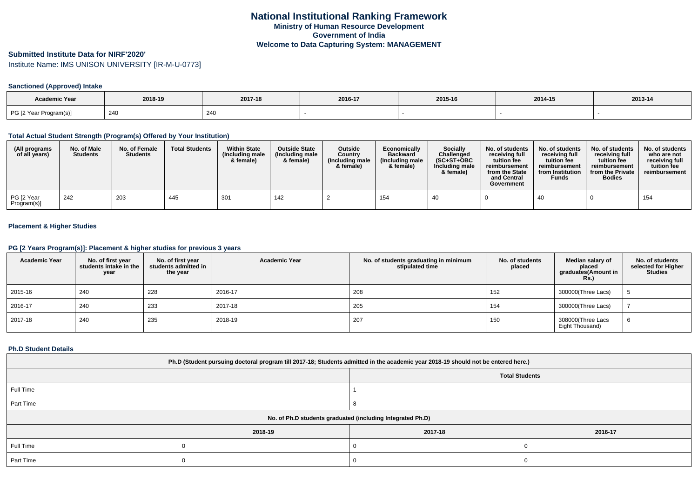### **Submitted Institute Data for NIRF'2020'**

Institute Name: IMS UNISON UNIVERSITY [IR-M-U-0773]

## **Sanctioned (Approved) Intake**

| Academic Year          | 2018-19 | 2017-18 | 2016-17 | 2015-16 | 2014-15 | 2013-14 |
|------------------------|---------|---------|---------|---------|---------|---------|
| PG [2 Year Program(s)] | 240     | 240     |         |         |         |         |

### **Total Actual Student Strength (Program(s) Offered by Your Institution)**

| (All programs<br>of all years) | No. of Male<br><b>Students</b> | No. of Female<br><b>Students</b> | <b>Total Students</b> | <b>Within State</b><br>(Including male<br>& female) | <b>Outside State</b><br>(Including male<br>& female) | <b>Outside</b><br>Country<br>(Including male<br>& female) | Economically<br><b>Backward</b><br>(Including male)<br>& female) | Socially<br>Challenged<br>$(SC+ST+OBC$<br>Including male<br>& female) | No. of students<br>receivina full<br>tuition fee<br>reimbursement<br>from the State<br>and Central<br>Government | No. of students<br>receiving full<br>tuition fee<br>reimbursement<br>from Institution<br><b>Funds</b> | No. of students<br>receiving full<br>tuition fee<br>reimbursement<br>from the Private<br><b>Bodies</b> | No. of students<br>who are not<br>receiving full<br>tuition fee<br>reimbursement |
|--------------------------------|--------------------------------|----------------------------------|-----------------------|-----------------------------------------------------|------------------------------------------------------|-----------------------------------------------------------|------------------------------------------------------------------|-----------------------------------------------------------------------|------------------------------------------------------------------------------------------------------------------|-------------------------------------------------------------------------------------------------------|--------------------------------------------------------------------------------------------------------|----------------------------------------------------------------------------------|
| PG [2 Year<br>Program(s)]      | 242                            | 203                              | 445                   | 301                                                 | 142                                                  |                                                           | 154                                                              | 40                                                                    |                                                                                                                  | 40                                                                                                    |                                                                                                        | 154                                                                              |

## **Placement & Higher Studies**

#### **PG [2 Years Program(s)]: Placement & higher studies for previous 3 years**

| <b>Academic Year</b> | No. of first year<br>students intake in the<br>year | No. of first year<br>students admitted in<br>the year | <b>Academic Year</b> | No. of students graduating in minimum<br>stipulated time | No. of students<br>placed | Median salary of<br>placed<br>graduates(Amount in<br><b>Rs.)</b> | No. of students<br>selected for Higher<br><b>Studies</b> |
|----------------------|-----------------------------------------------------|-------------------------------------------------------|----------------------|----------------------------------------------------------|---------------------------|------------------------------------------------------------------|----------------------------------------------------------|
| 2015-16              | 240                                                 | 228                                                   | 2016-17              | 208                                                      | 152                       | 300000(Three Lacs)                                               |                                                          |
| 2016-17              | 240                                                 | 233                                                   | 2017-18              | 205                                                      | 154                       | 300000(Three Lacs)                                               |                                                          |
| 2017-18              | 240                                                 | 235                                                   | 2018-19              | 207                                                      | 150                       | 308000(Three Lacs<br>Eight Thousand)                             | 6                                                        |

#### **Ph.D Student Details**

| Ph.D (Student pursuing doctoral program till 2017-18; Students admitted in the academic year 2018-19 should not be entered here.) |         |                       |         |  |  |  |
|-----------------------------------------------------------------------------------------------------------------------------------|---------|-----------------------|---------|--|--|--|
|                                                                                                                                   |         | <b>Total Students</b> |         |  |  |  |
| Full Time                                                                                                                         |         |                       |         |  |  |  |
| Part Time                                                                                                                         |         |                       |         |  |  |  |
| No. of Ph.D students graduated (including Integrated Ph.D)                                                                        |         |                       |         |  |  |  |
|                                                                                                                                   | 2018-19 | 2017-18               | 2016-17 |  |  |  |
| Full Time                                                                                                                         |         |                       |         |  |  |  |
| Part Time                                                                                                                         |         |                       |         |  |  |  |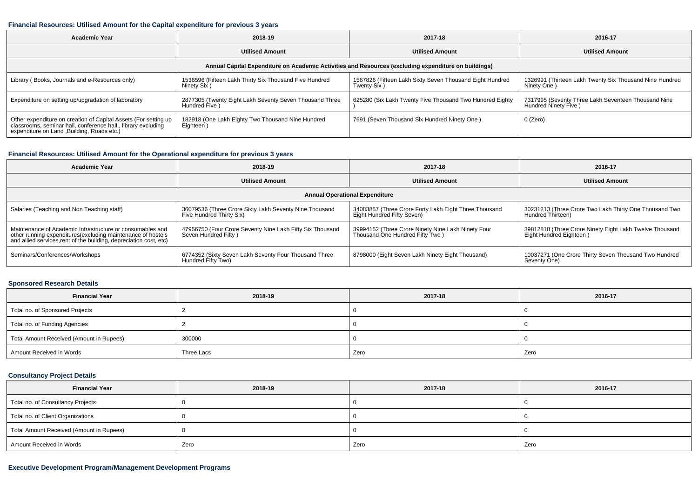#### **Financial Resources: Utilised Amount for the Capital expenditure for previous 3 years**

| Academic Year                                                                                                                                                                  | 2018-19                                                                   | 2017-18                                                                 | 2016-17                                                                     |  |  |  |
|--------------------------------------------------------------------------------------------------------------------------------------------------------------------------------|---------------------------------------------------------------------------|-------------------------------------------------------------------------|-----------------------------------------------------------------------------|--|--|--|
|                                                                                                                                                                                | <b>Utilised Amount</b>                                                    | <b>Utilised Amount</b>                                                  | <b>Utilised Amount</b>                                                      |  |  |  |
| Annual Capital Expenditure on Academic Activities and Resources (excluding expenditure on buildings)                                                                           |                                                                           |                                                                         |                                                                             |  |  |  |
| Library (Books, Journals and e-Resources only)                                                                                                                                 | 1536596 (Fifteen Lakh Thirty Six Thousand Five Hundred<br>Ninety Six)     | 1567826 (Fifteen Lakh Sixty Seven Thousand Eight Hundred<br>Twenty Six) | 1326991 (Thirteen Lakh Twenty Six Thousand Nine Hundred<br>Ninety One)      |  |  |  |
| Expenditure on setting up/upgradation of laboratory                                                                                                                            | 2877305 (Twenty Eight Lakh Seventy Seven Thousand Three<br>Hundred Five ) | 625280 (Six Lakh Twenty Five Thousand Two Hundred Eighty                | 7317995 (Seventy Three Lakh Seventeen Thousand Nine<br>Hundred Ninety Five) |  |  |  |
| Other expenditure on creation of Capital Assets (For setting up<br>classrooms, seminar hall, conference hall, library excluding<br>expenditure on Land , Building, Roads etc.) | 182918 (One Lakh Eighty Two Thousand Nine Hundred<br>Eighteen)            | 7691 (Seven Thousand Six Hundred Ninety One)                            | 0 (Zero)                                                                    |  |  |  |

## **Financial Resources: Utilised Amount for the Operational expenditure for previous 3 years**

| <b>Academic Year</b>                                                                                                                                                                           | 2018-19                                                                            | 2017-18                                                                               | 2016-17                                                                            |  |  |  |
|------------------------------------------------------------------------------------------------------------------------------------------------------------------------------------------------|------------------------------------------------------------------------------------|---------------------------------------------------------------------------------------|------------------------------------------------------------------------------------|--|--|--|
|                                                                                                                                                                                                | <b>Utilised Amount</b>                                                             | <b>Utilised Amount</b>                                                                | <b>Utilised Amount</b>                                                             |  |  |  |
| <b>Annual Operational Expenditure</b>                                                                                                                                                          |                                                                                    |                                                                                       |                                                                                    |  |  |  |
| Salaries (Teaching and Non Teaching staff)                                                                                                                                                     | 36079536 (Three Crore Sixty Lakh Seventy Nine Thousand<br>Five Hundred Thirty Six) | 34083857 (Three Crore Forty Lakh Eight Three Thousand<br>Eight Hundred Fifty Seven)   | 30231213 (Three Crore Two Lakh Thirty One Thousand Two<br>Hundred Thirteen)        |  |  |  |
| Maintenance of Academic Infrastructure or consumables and<br>other running expenditures(excluding maintenance of hostels<br>and allied services, rent of the building, depreciation cost, etc) | 47956750 (Four Crore Seventy Nine Lakh Fifty Six Thousand<br>Seven Hundred Fifty)  | 39994152 (Three Crore Ninety Nine Lakh Ninety Four<br>Thousand One Hundred Fifty Two) | 39812818 (Three Crore Ninety Eight Lakh Twelve Thousand<br>Eight Hundred Eighteen) |  |  |  |
| Seminars/Conferences/Workshops                                                                                                                                                                 | 6774352 (Sixty Seven Lakh Seventy Four Thousand Three<br>Hundred Fifty Two)        | 8798000 (Eight Seven Lakh Ninety Eight Thousand)                                      | 10037271 (One Crore Thirty Seven Thousand Two Hundred<br>Seventy One)              |  |  |  |

## **Sponsored Research Details**

| <b>Financial Year</b>                    | 2018-19    | 2017-18 | 2016-17 |
|------------------------------------------|------------|---------|---------|
| Total no. of Sponsored Projects          |            |         |         |
| Total no. of Funding Agencies            |            |         |         |
| Total Amount Received (Amount in Rupees) | 300000     |         |         |
| Amount Received in Words                 | Three Lacs | Zero    | Zero    |

# **Consultancy Project Details**

| <b>Financial Year</b>                    | 2018-19 | 2017-18 | 2016-17 |
|------------------------------------------|---------|---------|---------|
| Total no. of Consultancy Projects        |         |         |         |
| Total no. of Client Organizations        |         |         |         |
| Total Amount Received (Amount in Rupees) |         |         |         |
| Amount Received in Words                 | Zero    | Zero    | Zero    |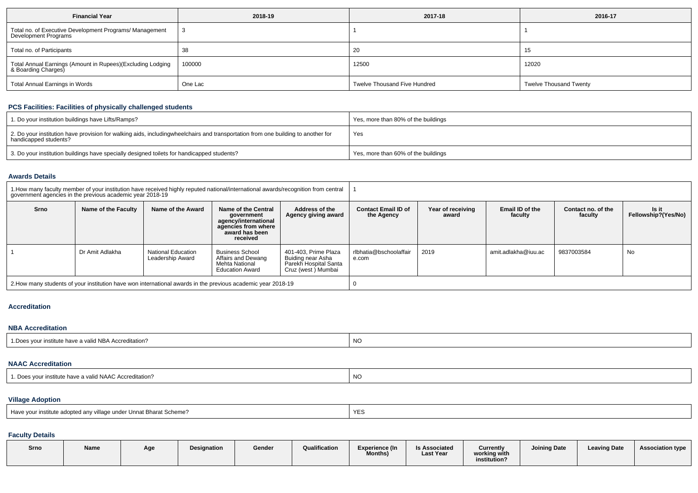| <b>Financial Year</b>                                                             | 2018-19 | 2017-18                      | 2016-17                       |
|-----------------------------------------------------------------------------------|---------|------------------------------|-------------------------------|
| Total no. of Executive Development Programs/ Management<br>Development Programs   |         |                              |                               |
| Total no. of Participants                                                         | -38     | 20                           | 15                            |
| Total Annual Earnings (Amount in Rupees)(Excluding Lodging<br>& Boarding Charges) | 100000  | 12500                        | 12020                         |
| Total Annual Earnings in Words                                                    | One Lac | Twelve Thousand Five Hundred | <b>Twelve Thousand Twenty</b> |

# **PCS Facilities: Facilities of physically challenged students**

| 1. Do your institution buildings have Lifts/Ramps?                                                                                                        | Yes, more than 80% of the buildings |
|-----------------------------------------------------------------------------------------------------------------------------------------------------------|-------------------------------------|
| 2. Do your institution have provision for walking aids, includingwheelchairs and transportation from one building to another for<br>handicapped students? | Yes                                 |
| 3. Do your institution buildings have specially designed toilets for handicapped students?                                                                | Yes, more than 60% of the buildings |

#### **Awards Details**

|                                                                                                              | 1. How many faculty member of your institution have received highly reputed national/international awards/recognition from central<br>government agencies in the previous academic year 2018-19 |                                        |                                                                                                                |                                                                                          |                                          |                            |                            |                               |                              |
|--------------------------------------------------------------------------------------------------------------|-------------------------------------------------------------------------------------------------------------------------------------------------------------------------------------------------|----------------------------------------|----------------------------------------------------------------------------------------------------------------|------------------------------------------------------------------------------------------|------------------------------------------|----------------------------|----------------------------|-------------------------------|------------------------------|
| Srno                                                                                                         | Name of the Faculty                                                                                                                                                                             | Name of the Award                      | Name of the Central<br>government<br>agency/international<br>agencies from where<br>award has been<br>received | <b>Address of the</b><br>Agency giving award                                             | <b>Contact Email ID of</b><br>the Agency | Year of receiving<br>award | Email ID of the<br>faculty | Contact no. of the<br>faculty | Is it<br>Fellowship?(Yes/No) |
|                                                                                                              | Dr Amit Adlakha                                                                                                                                                                                 | National Education<br>Leadership Award | <b>Business School</b><br>Affairs and Dewang<br>Mehta National<br><b>Education Award</b>                       | 401-403. Prime Plaza<br>Buiding near Asha<br>Parekh Hospital Santa<br>Cruz (west) Mumbai | rlbhatia@bschoolaffair<br>e.com          | 2019                       | amit.adlakha@iuu.ac        | 9837003584                    | No                           |
| 2. How many students of your institution have won international awards in the previous academic year 2018-19 |                                                                                                                                                                                                 |                                        |                                                                                                                |                                                                                          |                                          |                            |                            |                               |                              |

### **Accreditation**

#### **NBA Accreditation**1.Does your institute have a valid NBA Accreditation?explorer than the contract of the contract of the contract of the contract of the contract of the contract of the contract of the contract of the contract of the contract of the contract of the contract of the contract of

| <b>NAAC Accreditation</b>                                           |           |
|---------------------------------------------------------------------|-----------|
| <sup>1</sup> . Does your institute have a valid NAAC Accreditation? | <b>NO</b> |

# **Village Adoption**

| l Have vour institute adopted anv village under Unnat Bharat Scheme? | YES <sup>T</sup> |
|----------------------------------------------------------------------|------------------|
|----------------------------------------------------------------------|------------------|

## **Faculty Details**

| Srnc | <b>Name</b> | Age | <b>Designation</b> | Gender | Qualification | Experience (In<br>Months) | <b>Is Associated</b><br><b>Last Year</b> | <b>Currently</b><br>working with<br>institution? | <b>Joining Date</b> | <b>Leaving Date</b> | <b>Association type</b> |  |
|------|-------------|-----|--------------------|--------|---------------|---------------------------|------------------------------------------|--------------------------------------------------|---------------------|---------------------|-------------------------|--|
|------|-------------|-----|--------------------|--------|---------------|---------------------------|------------------------------------------|--------------------------------------------------|---------------------|---------------------|-------------------------|--|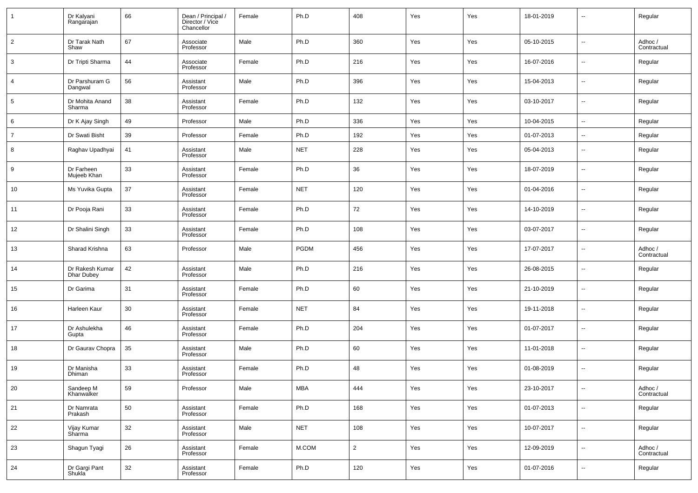| $\mathbf{1}$   | Dr Kalyani<br>Rangarajan             | 66     | Dean / Principal /<br>Director / Vice<br>Chancellor | Female | Ph.D       | 408            | Yes | Yes | 18-01-2019 | $\sim$                   | Regular                |
|----------------|--------------------------------------|--------|-----------------------------------------------------|--------|------------|----------------|-----|-----|------------|--------------------------|------------------------|
| $\overline{2}$ | Dr Tarak Nath<br>Shaw                | 67     | Associate<br>Professor                              | Male   | Ph.D       | 360            | Yes | Yes | 05-10-2015 | $\sim$                   | Adhoc/<br>Contractual  |
| 3              | Dr Tripti Sharma                     | 44     | Associate<br>Professor                              | Female | Ph.D       | 216            | Yes | Yes | 16-07-2016 | $\overline{\phantom{a}}$ | Regular                |
| $\overline{4}$ | Dr Parshuram G<br>Dangwal            | 56     | Assistant<br>Professor                              | Male   | Ph.D       | 396            | Yes | Yes | 15-04-2013 | $\ddotsc$                | Regular                |
| $\sqrt{5}$     | Dr Mohita Anand<br>Sharma            | 38     | Assistant<br>Professor                              | Female | Ph.D       | 132            | Yes | Yes | 03-10-2017 | $\sim$                   | Regular                |
| 6              | Dr K Ajay Singh                      | 49     | Professor                                           | Male   | Ph.D       | 336            | Yes | Yes | 10-04-2015 | $\overline{\phantom{a}}$ | Regular                |
| $\overline{7}$ | Dr Swati Bisht                       | 39     | Professor                                           | Female | Ph.D       | 192            | Yes | Yes | 01-07-2013 | --                       | Regular                |
| 8              | Raghav Upadhyai                      | 41     | Assistant<br>Professor                              | Male   | <b>NET</b> | 228            | Yes | Yes | 05-04-2013 | --                       | Regular                |
| 9              | Dr Farheen<br>Mujeeb Khan            | 33     | Assistant<br>Professor                              | Female | Ph.D       | 36             | Yes | Yes | 18-07-2019 | --                       | Regular                |
| 10             | Ms Yuvika Gupta                      | 37     | Assistant<br>Professor                              | Female | <b>NET</b> | 120            | Yes | Yes | 01-04-2016 | --                       | Regular                |
| 11             | Dr Pooja Rani                        | 33     | Assistant<br>Professor                              | Female | Ph.D       | 72             | Yes | Yes | 14-10-2019 | --                       | Regular                |
| 12             | Dr Shalini Singh                     | 33     | Assistant<br>Professor                              | Female | Ph.D       | 108            | Yes | Yes | 03-07-2017 | --                       | Regular                |
| 13             | Sharad Krishna                       | 63     | Professor                                           | Male   | PGDM       | 456            | Yes | Yes | 17-07-2017 | --                       | Adhoc /<br>Contractual |
| 14             | Dr Rakesh Kumar<br><b>Dhar Dubey</b> | 42     | Assistant<br>Professor                              | Male   | Ph.D       | 216            | Yes | Yes | 26-08-2015 | --                       | Regular                |
| 15             | Dr Garima                            | 31     | Assistant<br>Professor                              | Female | Ph.D       | 60             | Yes | Yes | 21-10-2019 | --                       | Regular                |
| 16             | Harleen Kaur                         | 30     | Assistant<br>Professor                              | Female | <b>NET</b> | 84             | Yes | Yes | 19-11-2018 | --                       | Regular                |
| 17             | Dr Ashulekha<br>Gupta                | 46     | Assistant<br>Professor                              | Female | Ph.D       | 204            | Yes | Yes | 01-07-2017 | --                       | Regular                |
| 18             | Dr Gaurav Chopra                     | 35     | Assistant<br>Professor                              | Male   | Ph.D       | 60             | Yes | Yes | 11-01-2018 | --                       | Regular                |
| 19             | Dr Manisha<br>Dhiman                 | 33     | Assistant<br>Professor                              | Female | Ph.D       | 48             | Yes | Yes | 01-08-2019 | --                       | Regular                |
| 20             | Sandeep M<br>Khanwalker              | 59     | Professor                                           | Male   | <b>MBA</b> | 444            | Yes | Yes | 23-10-2017 | $\sim$                   | Adhoc /<br>Contractual |
| 21             | Dr Namrata<br>Prakash                | 50     | Assistant<br>Professor                              | Female | Ph.D       | 168            | Yes | Yes | 01-07-2013 | $\overline{\phantom{a}}$ | Regular                |
| 22             | Vijay Kumar<br>Sharma                | 32     | Assistant<br>Professor                              | Male   | <b>NET</b> | 108            | Yes | Yes | 10-07-2017 | --                       | Regular                |
| 23             | Shagun Tyagi                         | 26     | Assistant<br>Professor                              | Female | M.COM      | $\overline{2}$ | Yes | Yes | 12-09-2019 | $\overline{\phantom{a}}$ | Adhoc /<br>Contractual |
| 24             | Dr Gargi Pant<br>Shukla <sup>7</sup> | $32\,$ | Assistant<br>Professor                              | Female | Ph.D       | 120            | Yes | Yes | 01-07-2016 | $\ddotsc$                | Regular                |